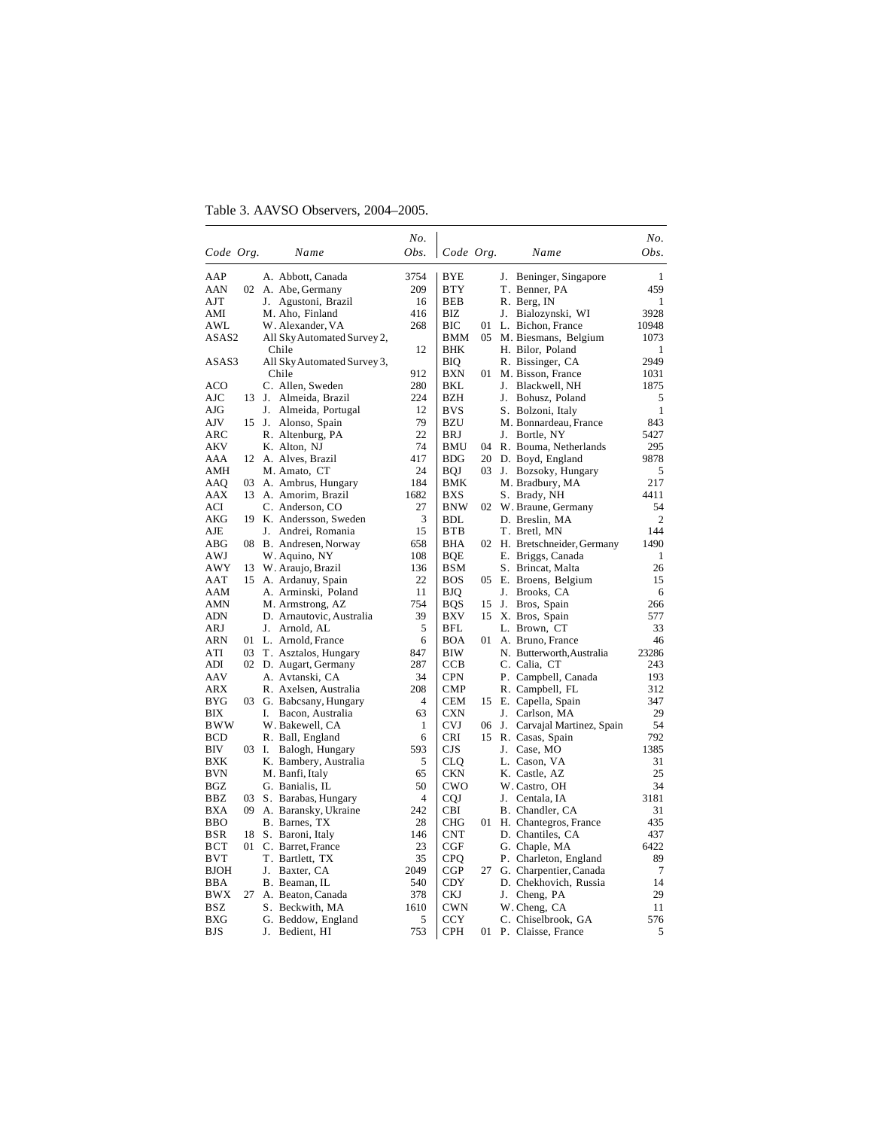## Table 3. AAVSO Observers, 2004–2005.

|             |       |                                           | No.     |            |      |       |                                                   | No.                  |
|-------------|-------|-------------------------------------------|---------|------------|------|-------|---------------------------------------------------|----------------------|
| Code Org.   |       | Name                                      | Obs.    | Code Org.  |      |       | Name                                              | Obs.                 |
| AAP         |       | A. Abbott, Canada                         | 3754    | BYE        |      | J.    | Beninger, Singapore                               | 1                    |
| AAN         |       | 02 A. Abe, Germany                        | 209     | BTY        |      |       | T. Benner, PA                                     | 459                  |
| AJT         |       | J. Agustoni, Brazil                       | 16      | <b>BEB</b> |      |       | R. Berg, IN                                       | 1                    |
| AMI         |       | M. Aho, Finland                           | 416     | BIZ        |      |       | J. Bialozynski, WI                                | 3928                 |
| AWL         |       | W. Alexander, VA                          | 268     | ВIС        | 01   |       | L. Bichon, France                                 | 10948                |
| ASAS2       |       | All Sky Automated Survey 2,               |         | BMM        | 05.  |       | M. Biesmans, Belgium                              | 1073                 |
|             |       | Chile                                     | 12      | BHK        |      |       | H. Bilor, Poland                                  | 1                    |
| ASAS3       |       | All Sky Automated Survey 3,               |         | BIQ        |      |       | R. Bissinger, CA                                  | 2949                 |
|             |       | Chile                                     | 912     | BXN        | 01   |       | M. Bisson, France                                 | 1031                 |
| <b>ACO</b>  |       | C. Allen, Sweden                          | 280     | BKL        |      |       | J. Blackwell, NH                                  | 1875                 |
| AJC         | 13    | J. Almeida, Brazil                        | 224     | <b>BZH</b> |      |       | J. Bohusz, Poland                                 | 5                    |
| AJG         |       | J. Almeida, Portugal                      | 12      | <b>BVS</b> |      |       | S. Bolzoni, Italy                                 | $\mathbf{1}$         |
| AJV         |       | 15 J. Alonso, Spain                       | 79      | BZU        |      |       | M. Bonnardeau, France                             | 843                  |
| ARC         |       | R. Altenburg, PA                          | 22      | BRJ        |      |       | J. Bortle, NY                                     | 5427                 |
| AKV         |       | K. Alton, NJ                              | 74      | BMU        | 04   |       | R. Bouma, Netherlands                             | 295                  |
| AAA         |       | 12 A. Alves, Brazil                       | 417     | BDG        | 20   |       | D. Boyd, England                                  | 9878                 |
| AMH         |       | M. Amato, CT                              | 24      | BQJ        | 03   |       | J. Bozsoky, Hungary                               | 5                    |
| AAQ         | 03    | A. Ambrus, Hungary                        | 184     | BMK        |      |       | M. Bradbury, MA                                   | 217                  |
| AAX         | 13    | A. Amorim, Brazil                         | 1682    | <b>BXS</b> |      |       | S. Brady, NH                                      | 4411                 |
| ACI         |       | C. Anderson, CO                           | 27      | <b>BNW</b> | 02   |       | W. Braune, Germany                                | 54<br>$\overline{2}$ |
| AKG<br>AJE  | 19    | K. Andersson, Sweden                      | 3<br>15 | BDL<br>BTB |      |       | D. Breslin, MA<br>T. Bretl, MN                    | 144                  |
| ABG         | 08    | J. Andrei, Romania<br>B. Andresen, Norway | 658     | BHA        |      |       |                                                   | 1490                 |
| AWJ         |       | W. Aquino, NY                             | 108     | BQE        |      |       | 02 H. Bretschneider, Germany<br>E. Briggs, Canada | 1                    |
| AWY         | 13    | W. Araujo, Brazil                         | 136     | BSM        |      |       | S. Brincat, Malta                                 | 26                   |
| AAT         | 15    | A. Ardanuy, Spain                         | 22      | <b>BOS</b> | 05   |       | E. Broens, Belgium                                | 15                   |
| AAM         |       | A. Arminski, Poland                       | 11      | BJQ        |      |       | J. Brooks, CA                                     | 6                    |
| AMN         |       | M. Armstrong, AZ                          | 754     | <b>BQS</b> | 15   |       | J. Bros, Spain                                    | 266                  |
| ADN         |       | D. Arnautovic, Australia                  | 39      | <b>BXV</b> | 15   |       | X. Bros, Spain                                    | 577                  |
| ARJ         |       | J. Arnold, AL                             | 5       | BFL        |      |       | L. Brown, CT                                      | 33                   |
| ARN         |       | 01 L. Arnold, France                      | 6       | <b>BOA</b> | 01 - |       | A. Bruno, France                                  | 46                   |
| ATI         | 03    | T. Asztalos, Hungary                      | 847     | BIW        |      |       | N. Butterworth, Australia                         | 23286                |
| ADI         | 02    | D. Augart, Germany                        | 287     | <b>CCB</b> |      |       | C. Calia, CT                                      | 243                  |
| AAV         |       | A. Avtanski, CA                           | 34      | CPN        |      |       | P. Campbell, Canada                               | 193                  |
| ARX         |       | R. Axelsen, Australia                     | 208     | <b>CMP</b> |      |       | R. Campbell, FL                                   | 312                  |
| BYG         | 03    | G. Babcsany, Hungary                      | 4       | <b>CEM</b> | 15   |       | E. Capella, Spain                                 | 347                  |
| BIX         |       | Bacon, Australia<br>I.                    | 63      | <b>CXN</b> |      |       | J. Carlson, MA                                    | 29                   |
| <b>BWW</b>  |       | W. Bakewell, CA                           | 1       | <b>CVJ</b> |      | 06 J. | Carvajal Martinez, Spain                          | 54                   |
| <b>BCD</b>  |       | R. Ball, England                          | 6       | CRI        | 15   |       | R. Casas, Spain                                   | 792                  |
| BIV         | 03 I. | Balogh, Hungary                           | 593     | CJS        |      |       | J. Case, MO                                       | 1385                 |
| <b>BXK</b>  |       | K. Bambery, Australia                     | 5       | CLQ        |      |       | L. Cason, VA                                      | 31                   |
| <b>BVN</b>  |       | M. Banfi, Italy                           | 65      | <b>CKN</b> |      |       | K. Castle, AZ                                     | 25                   |
| BGZ         |       | G. Banialis, IL                           | 50      | CWO        |      |       | W. Castro, OH                                     | 34                   |
| BBZ         | 03    | S. Barabas, Hungary                       | 4       | CQJ        |      |       | J. Centala, IA                                    | 3181                 |
| <b>BXA</b>  | 09    | A. Baransky, Ukraine                      | 242     | CBI        |      |       | B. Chandler, CA                                   | 31                   |
| <b>BBO</b>  |       | B. Barnes, TX                             | 28      | CHG        | 01   |       | H. Chantegros, France                             | 435                  |
| <b>BSR</b>  | 18    | S. Baroni, Italy                          | 146     | <b>CNT</b> |      |       | D. Chantiles, CA                                  | 437                  |
| BCT         | 01    | C. Barret, France                         | 23      | CGF        |      |       | G. Chaple, MA                                     | 6422                 |
| BVT         |       | T. Bartlett, TX                           | 35      | CPO        |      |       | P. Charleton, England                             | 89                   |
| <b>BJOH</b> |       | J. Baxter, CA                             | 2049    | CGP        | 27   |       | G. Charpentier, Canada                            | $\tau$               |
| BBA         |       | B. Beaman, IL                             | 540     | CDY        |      |       | D. Chekhovich, Russia                             | 14                   |
| BWX         | 27    | A. Beaton, Canada                         | 378     | CKJ        |      |       | J. Cheng, PA                                      | 29                   |
| BSZ         |       | S. Beckwith, MA                           | 1610    | <b>CWN</b> |      |       | W. Cheng, CA                                      | 11                   |
| BXG         |       | G. Beddow, England                        | 5       | CCY        |      |       | C. Chiselbrook, GA                                | 576                  |
| <b>BJS</b>  |       | J.<br>Bedient, HI                         | 753     | <b>CPH</b> |      |       | 01 P. Claisse, France                             | 5                    |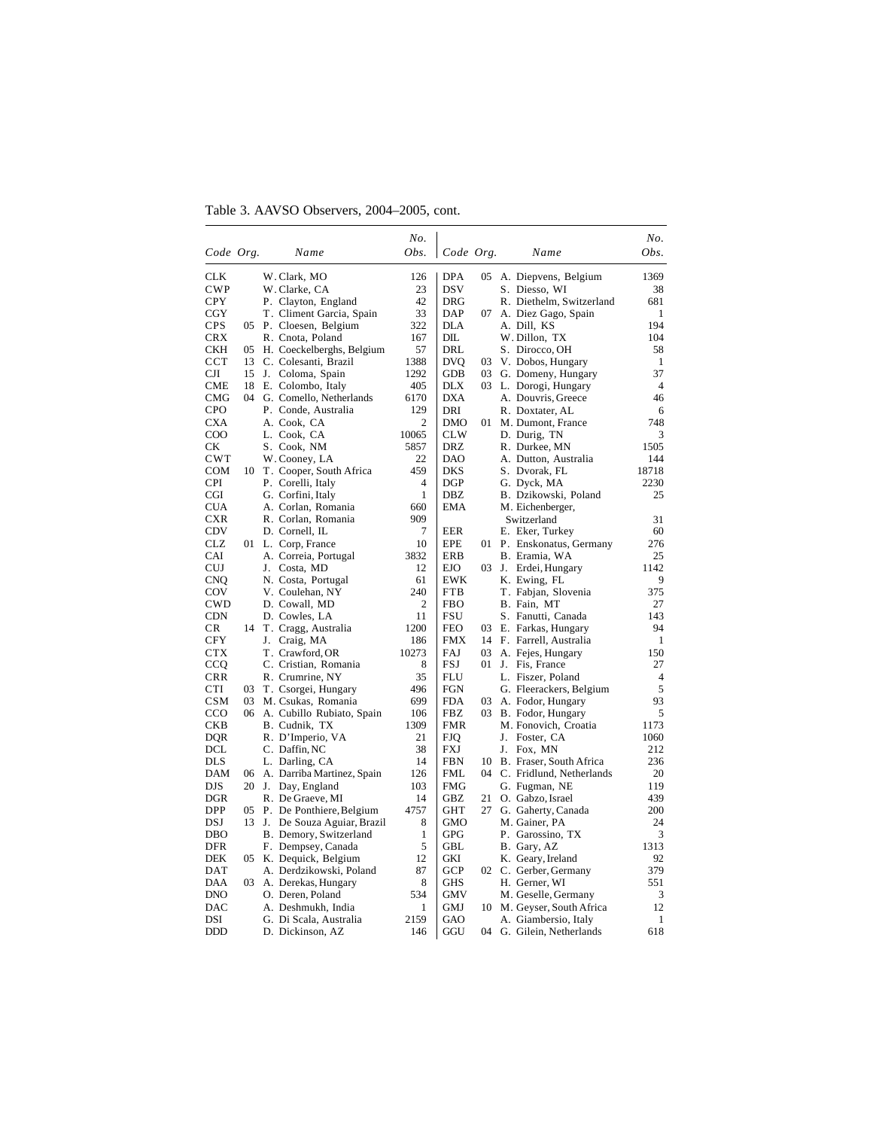Table 3. AAVSO Observers, 2004–2005, cont.

|                            |    |                                      | No.            |                   |    |                                       | No.            |
|----------------------------|----|--------------------------------------|----------------|-------------------|----|---------------------------------------|----------------|
| Code Org.                  |    | Name                                 | Obs.           | Code Org.         |    | Name                                  | Obs.           |
| CLK                        |    | W. Clark, MO                         | 126            | <b>DPA</b>        | 05 | A. Diepvens, Belgium                  | 1369           |
| CWP                        |    | W. Clarke, CA                        | 23             | <b>DSV</b>        |    | S. Diesso, WI                         | 38             |
| CPY                        |    | P. Clayton, England                  | 42             | <b>DRG</b>        |    | R. Diethelm, Switzerland              | 681            |
| CGY                        |    | T. Climent Garcia, Spain             | 33             | DAP               | 07 | A. Diez Gago, Spain                   | 1              |
| <b>CPS</b>                 |    | 05 P. Cloesen, Belgium               | 322            | DLA               |    | A. Dill, KS                           | 194            |
| <b>CRX</b>                 |    | R. Cnota, Poland                     | 167            | DIL               |    | W. Dillon, TX                         | 104            |
| CKH                        | 05 | H. Coeckelberghs, Belgium            | 57             | DRL               |    | S. Dirocco, OH                        | 58             |
| $_{\rm{CCT}}$              | 13 | C. Colesanti, Brazil                 | 1388           | <b>DVO</b>        | 03 | V. Dobos, Hungary                     | $\mathbf{1}$   |
| CЛ                         |    | 15 J. Coloma, Spain                  | 1292           | <b>GDB</b>        |    | 03 G. Domeny, Hungary                 | 37             |
| CME                        |    | 18 E. Colombo, Italy                 | 405            | <b>DLX</b>        |    | 03 L. Dorogi, Hungary                 | $\overline{4}$ |
| CMG                        |    | 04 G. Comello, Netherlands           | 6170           | <b>DXA</b>        |    | A. Douvris, Greece                    | 46             |
| <b>CPO</b>                 |    | P. Conde, Australia                  | 129            | DRI               |    | R. Doxtater, AL                       | 6              |
| CXA                        |    | A. Cook, CA                          | 2              | DMO               | 01 | M. Dumont, France                     | 748            |
| $_{\rm COO}$               |    | L. Cook, CA                          | 10065          | <b>CLW</b>        |    | D. Durig, TN                          | 3              |
| СK                         |    | S. Cook, NM                          | 5857           | <b>DRZ</b>        |    | R. Durkee, MN                         | 1505           |
| <b>CWT</b>                 |    | W. Cooney, LA                        | 22             | DAO               |    | A. Dutton, Australia                  | 144            |
| <b>COM</b>                 |    | 10 T. Cooper, South Africa           | 459            | <b>DKS</b>        |    | S. Dvorak, FL                         | 18718          |
| <b>CPI</b>                 |    | P. Corelli, Italy                    | $\overline{4}$ | DGP               |    | G. Dyck, MA                           | 2230           |
| CGI                        |    | G. Corfini, Italy                    | $\mathbf{1}$   | DBZ               |    | B. Dzikowski, Poland                  | 25             |
| CUA                        |    | A. Corlan, Romania                   | 660<br>909     | EMA               |    | M. Eichenberger,                      |                |
| CXR<br>CDV                 |    | R. Corlan. Romania<br>D. Cornell, IL | 7              | <b>EER</b>        |    | Switzerland<br>E. Eker, Turkey        | 31<br>60       |
| CLZ                        |    | 01 L. Corp, France                   | 10             | EPE               | 01 | P. Enskonatus, Germany                | 276            |
| CAI                        |    | A. Correia, Portugal                 | 3832           | ERB               |    | B. Eramia, WA                         | 25             |
| <b>CUJ</b>                 |    | J. Costa, MD                         | 12             | <b>EJO</b>        | 03 | J. Erdei, Hungary                     | 1142           |
| CNQ                        |    | N. Costa, Portugal                   | 61             | EWK               |    | K. Ewing, FL                          | 9              |
| COV                        |    | V. Coulehan, NY                      | 240            | <b>FTB</b>        |    | T. Fabjan, Slovenia                   | 375            |
| CWD                        |    | D. Cowall, MD                        | $\overline{c}$ | <b>FBO</b>        |    | B. Fain, MT                           | 27             |
| CDN                        |    | D. Cowles, LA                        | 11             | FSU               |    | S. Fanutti, Canada                    | 143            |
| CR.                        |    | 14 T. Cragg, Australia               | 1200           | <b>FEO</b>        | 03 | E. Farkas, Hungary                    | 94             |
| <b>CFY</b>                 |    | J. Craig, MA                         | 186            | <b>FMX</b>        | 14 | F. Farrell, Australia                 | 1              |
| CTX                        |    | T. Crawford, OR                      | 10273          | FAJ               | 03 | A. Fejes, Hungary                     | 150            |
| CCQ                        |    | C. Cristian, Romania                 | 8              | FSJ               | 01 | J. Fis, France                        | 27             |
| <b>CRR</b>                 |    | R. Crumrine, NY                      | 35             | FLU               |    | L. Fiszer, Poland                     | $\overline{4}$ |
| CTI                        | 03 | T. Csorgei, Hungary                  | 496            | <b>FGN</b>        |    | G. Fleerackers, Belgium               | 5              |
| CSM                        |    | 03 M. Csukas, Romania                | 699            | FDA               | 03 | A. Fodor, Hungary                     | 93             |
| $_{\rm CCO}$<br><b>CKB</b> |    | 06 A. Cubillo Rubiato, Spain         | 106            | FBZ<br><b>FMR</b> | 03 | B. Fodor, Hungary                     | 5<br>1173      |
| DQR                        |    | B. Cudnik, TX<br>R. D'Imperio, VA    | 1309<br>21     | <b>FJQ</b>        |    | M. Fonovich, Croatia<br>J. Foster, CA | 1060           |
| DCL                        |    | C. Daffin, NC                        | 38             | FXJ               |    | J. Fox, MN                            | 212            |
| DLS                        |    | L. Darling, CA                       | 14             | FBN               | 10 | B. Fraser, South Africa               | 236            |
| DAM                        |    | 06 A. Darriba Martinez, Spain        | 126            | FML               | 04 | C. Fridlund, Netherlands              | 20             |
| DJS                        |    | 20 J. Day, England                   | 103            | <b>FMG</b>        |    | G. Fugman, NE                         | 119            |
| DGR                        |    | R. De Graeve, MI                     | 14             | GBZ               | 21 | O. Gabzo, Israel                      | 439            |
| <b>DPP</b>                 |    | 05 P. De Ponthiere, Belgium          | 4757           | GHT               | 27 | G. Gaherty, Canada                    | 200            |
| DSJ                        |    | 13 J. De Souza Aguiar, Brazil        | 8              | <b>GMO</b>        |    | M. Gainer, PA                         | 24             |
| DBO                        |    | B. Demory, Switzerland               | 1              | <b>GPG</b>        |    | P. Garossino, TX                      | 3              |
| DFR                        |    | F. Dempsey, Canada                   | 5              | GBL               |    | B. Gary, AZ                           | 1313           |
| DEK                        |    | 05 K. Dequick, Belgium               | 12             | GKI               |    | K. Geary, Ireland                     | 92             |
| DAT                        |    | A. Derdzikowski, Poland              | 87             | GCP               |    | 02 C. Gerber, Germany                 | 379            |
| DAA                        | 03 | A. Derekas, Hungary                  | 8              | <b>GHS</b>        |    | H. Gerner, WI                         | 551            |
| <b>DNO</b>                 |    | O. Deren, Poland                     | 534            | <b>GMV</b>        |    | M. Geselle, Germany                   | 3              |
| DAC                        |    | A. Deshmukh, India                   | 1              | GMJ               | 10 | M. Geyser, South Africa               | 12             |
| DSI                        |    | G. Di Scala, Australia               | 2159           | GAO               |    | A. Giambersio, Italy                  | 1              |
| <b>DDD</b>                 |    | D. Dickinson, AZ                     | 146            | GGU               |    | 04 G. Gilein, Netherlands             | 618            |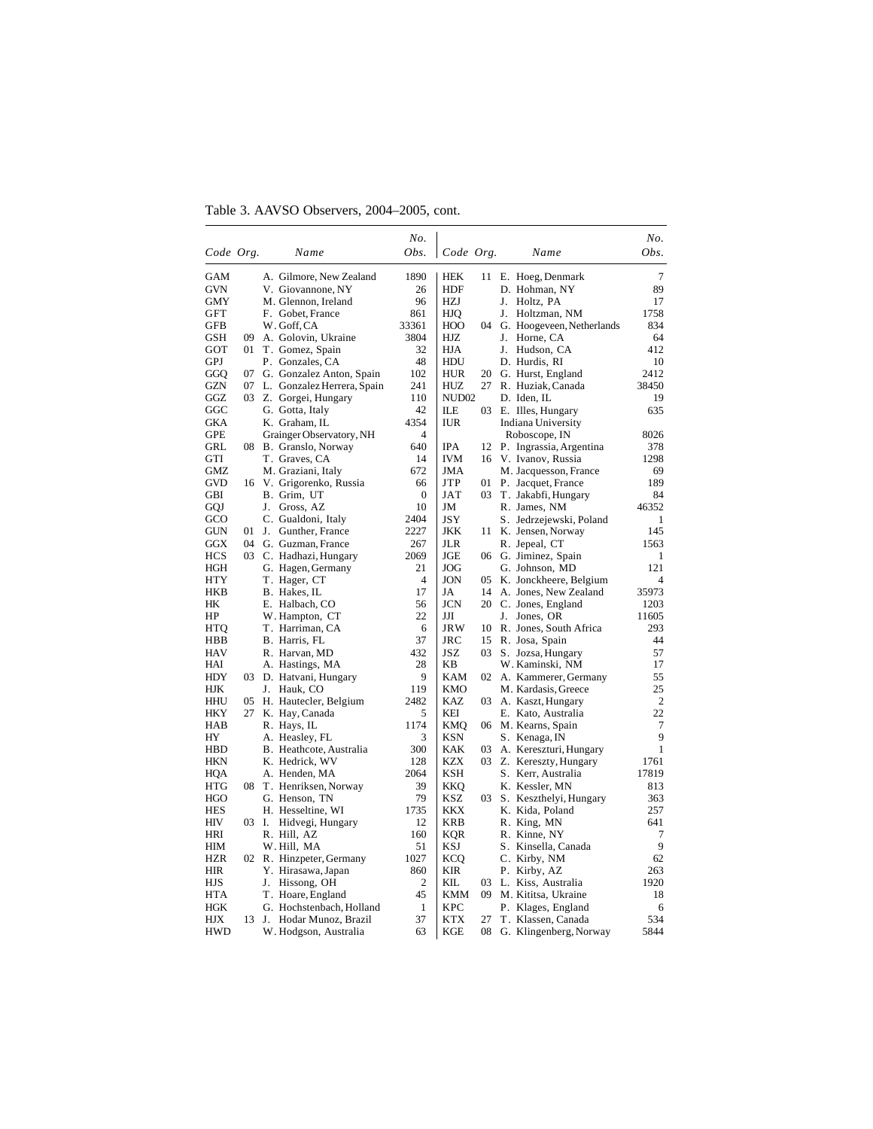Table 3. AAVSO Observers, 2004–2005, cont.

|            |    |    |                               | No.              |                   |     |                           | No.            |
|------------|----|----|-------------------------------|------------------|-------------------|-----|---------------------------|----------------|
| Code Org.  |    |    | Name                          | Obs.             | Code Org.         |     | Name                      | Obs.           |
| GAM        |    |    | A. Gilmore, New Zealand       | 1890             | HEK               | 11  | E. Hoeg, Denmark          | 7              |
| <b>GVN</b> |    |    | V. Giovannone, NY             | 26               | HDF               |     | D. Hohman, NY             | 89             |
| <b>GMY</b> |    |    | M. Glennon, Ireland           | 96               | HZJ               |     | J. Holtz, PA              | 17             |
| <b>GFT</b> |    |    | F. Gobet, France              | 861              | HJQ               |     | J. Holtzman, NM           | 1758           |
| GFB        |    |    | W. Goff, CA                   | 33361            | HOO               | 04  | G. Hoogeveen, Netherlands | 834            |
| <b>GSH</b> | 09 |    | A. Golovin, Ukraine           | 3804             | HJZ               |     | J. Horne, CA              | 64             |
| GOT        |    |    | 01 T. Gomez, Spain            | 32               | <b>HJA</b>        |     | J. Hudson, CA             | 412            |
| GPJ        |    |    | P. Gonzales, CA               | 48               | HDU               |     | D. Hurdis, RI             | 10             |
| GGO        | 07 |    | G. Gonzalez Anton, Spain      | 102              | HUR               | 20  | G. Hurst, England         | 2412           |
| GZN        |    |    | 07 L. Gonzalez Herrera, Spain | 241              | HUZ               | 27  | R. Huziak, Canada         | 38450          |
| GGZ        | 03 |    | Z. Gorgei, Hungary            | 110              | NUD <sub>02</sub> |     | D. Iden, IL               | 19             |
| GGC        |    |    | G. Gotta, Italy               | 42               | ILЕ               |     | 03 E. Illes, Hungary      | 635            |
| <b>GKA</b> |    |    | K. Graham, IL                 | 4354             | <b>IUR</b>        |     | Indiana University        |                |
| <b>GPE</b> |    |    | Grainger Observatory, NH      | $\overline{4}$   |                   |     | Roboscope, IN             | 8026           |
| GRL        | 08 |    | B. Granslo, Norway            | 640              | <b>IPA</b>        | 12  | P. Ingrassia, Argentina   | 378            |
| GTI        |    |    | T. Graves, CA                 | 14               | <b>IVM</b>        |     | 16 V. Ivanov, Russia      | 1298           |
| GMZ        |    |    | M. Graziani, Italy            | 672              | JMA               |     | M. Jacquesson, France     | 69             |
| GVD        |    |    | 16 V. Grigorenko, Russia      | 66               | JTP               | 01  | P. Jacquet, France        | 189            |
| GBI        |    |    | B. Grim, UT                   | $\boldsymbol{0}$ | JAT               |     | 03 T. Jakabfi, Hungary    | 84             |
| GQJ        |    |    | J. Gross, AZ                  | 10               | JM                |     | R. James, NM              | 46352          |
| GCO        |    |    | C. Gualdoni, Italy            | 2404             | JSY               |     | S. Jedrzejewski, Poland   | 1              |
| <b>GUN</b> |    |    | 01 J. Gunther, France         | 2227             | JKK               | 11  | K. Jensen, Norway         | 145            |
| <b>GGX</b> |    |    | 04 G. Guzman, France          | 267              | <b>JLR</b>        |     | R. Jepeal, CT             | 1563           |
| <b>HCS</b> |    |    | 03 C. Hadhazi, Hungary        | 2069             | JGE               | 06  | G. Jiminez, Spain         | 1              |
| HGH        |    |    | G. Hagen, Germany             | 21               | JOG               |     | G. Johnson, MD            | 121            |
| HTY        |    |    | T. Hager, CT                  | 4                | JON               | 05  | K. Jonckheere, Belgium    | 4              |
| HKB        |    |    | B. Hakes, IL                  | 17               | JA                | 14  | A. Jones, New Zealand     | 35973          |
| HK         |    |    | E. Halbach, CO                | 56               | JCN               | 20  | C. Jones, England         | 1203           |
| HP         |    |    | W. Hampton, CT                | 22               | JЛ                |     | J. Jones, OR              | 11605          |
| <b>HTQ</b> |    |    | T. Harriman, CA               | 6                | JRW               | 10  | R. Jones, South Africa    | 293            |
| HBB        |    |    | B. Harris, FL                 | 37               | JRC               | 15  | R. Josa, Spain            | 44             |
| <b>HAV</b> |    |    | R. Harvan, MD                 | 432              | JSZ               | 03  | S. Jozsa, Hungary         | 57             |
| HAI        |    |    | A. Hastings, MA               | 28               | ΚB                |     | W. Kaminski, NM           | 17             |
| HDY        |    |    | 03 D. Hatvani, Hungary        | 9                | KAM               | 02  | A. Kammerer, Germany      | 55             |
| HJK        |    |    | J. Hauk, CO                   | 119              | KMO               |     | M. Kardasis, Greece       | 25             |
| HHU        | 05 |    | H. Hautecler, Belgium         | 2482             | KAZ               | 03  | A. Kaszt, Hungary         | $\overline{2}$ |
| <b>HKY</b> | 27 |    | K. Hay, Canada                | 5                | KEI               |     | E. Kato, Australia        | 22             |
| <b>HAB</b> |    |    | R. Hays, IL                   | 1174             | <b>KMQ</b>        |     | 06 M. Kearns, Spain       | 7              |
| HY         |    |    | A. Heasley, FL                | 3                | KSN               |     | S. Kenaga, IN             | 9              |
| HBD        |    |    | B. Heathcote, Australia       | 300              | KAK               | 03  | A. Kereszturi, Hungary    | 1              |
| <b>HKN</b> |    |    | K. Hedrick, WV                | 128              | KZX               |     | 03 Z. Kereszty, Hungary   | 1761           |
| HOA        |    |    | A. Henden, MA                 | 2064             | KSH               |     | S. Kerr, Australia        | 17819          |
| <b>HTG</b> | 08 |    | T. Henriksen, Norway          | 39               | KKQ               |     | K. Kessler, MN            | 813            |
| <b>HGO</b> |    |    | G. Henson, TN                 | 79               | KSZ               | 03  | S. Keszthelyi, Hungary    | 363            |
| HES        |    |    | H. Hesseltine, WI             | 1735             | KKX               |     | K. Kida, Poland           | 257            |
| HIV        |    |    | 03 I. Hidvegi, Hungary        | 12               | KRB               |     | R. King, MN               | 641            |
| <b>HRI</b> |    |    | R. Hill, AZ                   | 160              | <b>KQR</b>        |     | R. Kinne, NY              | 7              |
| HIM        |    |    | W. Hill, MA                   | 51               | KSJ               |     | S. Kinsella, Canada       | 9              |
| <b>HZR</b> |    |    | 02 R. Hinzpeter, Germany      | 1027             | KCQ               |     | C. Kirby, NM              | 62             |
| HIR        |    |    | Y. Hirasawa, Japan            | 860              | KIR               |     | P. Kirby, AZ              | 263            |
| HJS        |    | J. | Hissong, OH                   | 2                | KIL               | 03  | L. Kiss, Australia        | 1920           |
| <b>HTA</b> |    |    | T. Hoare, England             | 45               | <b>KMM</b>        | 09. | M. Kititsa, Ukraine       | 18             |
| HGK        |    |    | G. Hochstenbach, Holland      | 1                | <b>KPC</b>        |     | P. Klages, England        | 6              |
| <b>HJX</b> | 13 |    | J. Hodar Munoz, Brazil        | 37               | <b>KTX</b>        | 27  | T. Klassen, Canada        | 534            |
| <b>HWD</b> |    |    | W. Hodgson, Australia         | 63               | KGE               | 08  | G. Klingenberg, Norway    | 5844           |
|            |    |    |                               |                  |                   |     |                           |                |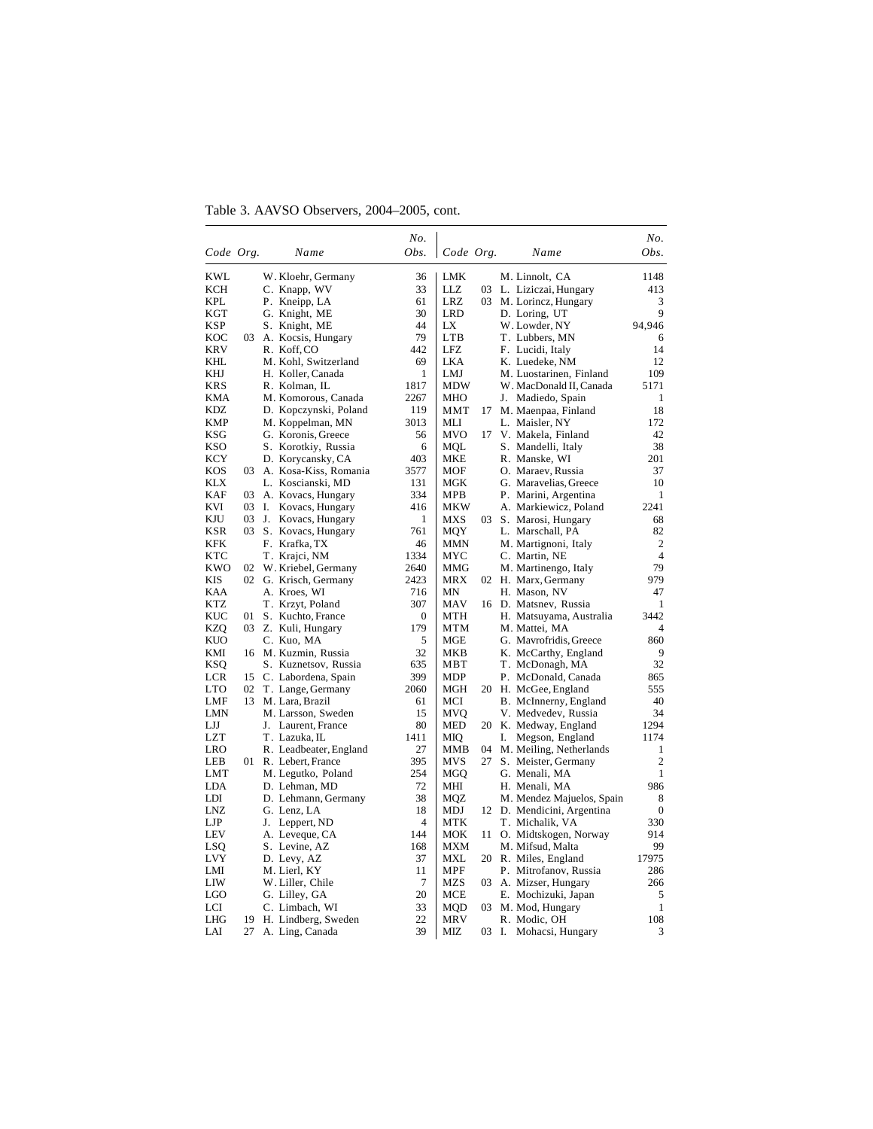Table 3. AAVSO Observers, 2004–2005, cont.

|                   |          |                                       | No.          |                   |       |    |                                              | No.              |
|-------------------|----------|---------------------------------------|--------------|-------------------|-------|----|----------------------------------------------|------------------|
| Code Org.         |          | Name                                  | Obs.         | Code Org.         |       |    | Name                                         | Obs.             |
| KWL               |          | W. Kloehr, Germany                    | 36           | LMK               |       |    | M. Linnolt, CA                               | 1148             |
| <b>KCH</b>        |          | C. Knapp, WV                          | 33           | <b>LLZ</b>        | 03    |    | L. Liziczai, Hungary                         | 413              |
| KPL               |          | P. Kneipp, LA                         | 61           | LRZ               | 03    |    | M. Lorincz, Hungary                          | 3                |
| KGT               |          | G. Knight, ME                         | 30           | LRD               |       |    | D. Loring, UT                                | 9                |
| KSP               |          | S. Knight, ME                         | 44           | LX                |       |    | W. Lowder, NY                                | 94,946           |
| KOC               |          | 03 A. Kocsis, Hungary                 | 79           | LTB               |       |    | T. Lubbers, MN                               | 6                |
| KRV               |          | R. Koff, CO                           | 442          | LFZ               |       |    | F. Lucidi, Italy                             | 14               |
| KHL               |          | M. Kohl, Switzerland                  | 69           | LKA               |       |    | K. Luedeke, NM                               | 12               |
| KHJ               |          | H. Koller, Canada                     | $\mathbf{1}$ | LMJ               |       |    | M. Luostarinen, Finland                      | 109              |
| KRS               |          | R. Kolman, IL                         | 1817         | MDW               |       |    | W. MacDonald II, Canada                      | 5171             |
| <b>KMA</b>        |          | M. Komorous, Canada                   | 2267         | <b>MHO</b>        |       |    | J. Madiedo, Spain                            | 1                |
| KDZ               |          | D. Kopczynski, Poland                 | 119          | MMT               | 17    |    | M. Maenpaa, Finland                          | 18               |
| <b>KMP</b>        |          | M. Koppelman, MN                      | 3013         | MLI               |       |    | L. Maisler, NY                               | 172              |
| KSG               |          | G. Koronis, Greece                    | 56           | <b>MVO</b>        | 17    |    | V. Makela, Finland                           | 42               |
| <b>KSO</b>        |          | S. Korotkiy, Russia                   | 6            | <b>MOL</b>        |       |    | S. Mandelli, Italy                           | 38               |
| KCY               |          | D. Korycansky, CA                     | 403          | MKE               |       |    | R. Manske, WI                                | 201              |
| KOS               | 03       | A. Kosa-Kiss, Romania                 | 3577         | MOF               |       |    | O. Maraev, Russia                            | 37               |
| KLX               |          | L. Koscianski, MD                     | 131          | MGK               |       |    | G. Maravelias, Greece                        | 10               |
| <b>KAF</b>        | 03       | A. Kovacs, Hungary                    | 334          | MPB               |       |    | P. Marini, Argentina                         | 1                |
| KVI               | 03       | Ι.<br>Kovacs, Hungary                 | 416          | <b>MKW</b>        |       |    | A. Markiewicz, Poland                        | 2241             |
| KJU               | 03       | J. Kovacs, Hungary                    | 1            | MXS               | 03    |    | S. Marosi, Hungary                           | 68               |
| KSR               | 03       | S. Kovacs, Hungary                    | 761          | MQY               |       |    | L. Marschall, PA                             | 82               |
| KFK               |          | F. Krafka, TX                         | 46           | MMN               |       |    | M. Martignoni, Italy                         | $\overline{2}$   |
| KTC               |          | T. Krajci, NM                         | 1334         | MYC               |       |    | C. Martin, NE                                | $\overline{4}$   |
| <b>KWO</b>        | 02       | W. Kriebel, Germany                   | 2640         | MMG               |       |    | M. Martinengo, Italy                         | 79               |
| KIS               |          | 02 G. Krisch, Germany                 | 2423         | <b>MRX</b>        | 02    |    | H. Marx, Germany                             | 979              |
| KAA               |          | A. Kroes, WI                          | 716          | MN                |       |    | H. Mason, NV                                 | 47               |
| KTZ               |          | T. Krzyt, Poland                      | 307          | <b>MAV</b>        |       |    | 16 D. Matsnev, Russia                        | 1                |
| KUC               | 01       | S. Kuchto, France                     | 0            | <b>MTH</b>        |       |    | H. Matsuyama, Australia                      | 3442             |
| KZQ               |          | 03 Z. Kuli, Hungary                   | 179          | <b>MTM</b>        |       |    | M. Mattei, MA                                | 4                |
| KUO               |          | C. Kuo, MA                            | 5            | MGE               |       |    | G. Mavrofridis, Greece                       | 860              |
| KMI               | 16       | M. Kuzmin, Russia                     | 32           | <b>MKB</b><br>MBT |       |    | K. McCarthy, England                         | 9<br>32          |
| KSQ               |          | S. Kuznetsov, Russia                  | 635          |                   |       |    | T. McDonagh, MA                              |                  |
| LCR<br><b>LTO</b> | 15       | C. Labordena, Spain                   | 399          | MDP               |       |    | P. McDonald, Canada                          | 865              |
| LMF               | 02<br>13 | T. Lange, Germany                     | 2060<br>61   | MGH<br>MCI        |       |    | 20 H. McGee, England                         | 555<br>40        |
| LMN               |          | M. Lara, Brazil<br>M. Larsson, Sweden | 15           | MVO               |       |    | B. McInnerny, England<br>V. Medvedev, Russia | 34               |
| LJJ               |          | J. Laurent, France                    | 80           | <b>MED</b>        |       |    | 20 K. Medway, England                        | 1294             |
| LZT               |          | T. Lazuka, IL                         | 1411         | MIQ               |       | I. | Megson, England                              | 1174             |
| LRO               |          | R. Leadbeater, England                | 27           | MMB               | 04    |    | M. Meiling, Netherlands                      | 1                |
| LEB               | 01 -     | R. Lebert, France                     | 395          | MVS               | 27    |    | S. Meister, Germany                          | $\overline{2}$   |
| LMT               |          | M. Legutko, Poland                    | 254          | MGO               |       |    | G. Menali, MA                                | 1                |
| LDA               |          | D. Lehman, MD                         | 72           | MHI               |       |    | H. Menali, MA                                | 986              |
| LDI               |          | D. Lehmann, Germany                   | 38           | MQZ               |       |    | M. Mendez Majuelos, Spain                    | 8                |
| LNZ               |          | G. Lenz, LA                           | 18           | MDJ               |       |    | 12 D. Mendicini, Argentina                   | $\boldsymbol{0}$ |
| LJP               |          | J. Leppert, ND                        | 4            | MTK               |       |    | T. Michalik, VA                              | 330              |
| LEV               |          | A. Leveque, CA                        | 144          | <b>MOK</b>        | 11    |    | O. Midtskogen, Norway                        | 914              |
| LSQ               |          | S. Levine, AZ                         | 168          | <b>MXM</b>        |       |    | M. Mifsud, Malta                             | 99               |
| LVY               |          | D. Levy, AZ                           | 37           | MXL               |       |    | 20 R. Miles, England                         | 17975            |
| LMI               |          | M. Lierl, KY                          | 11           | <b>MPF</b>        |       |    | P. Mitrofanov, Russia                        | 286              |
| LIW               |          | W. Liller, Chile                      | 7            | MZS               | 03    |    | A. Mizser, Hungary                           | 266              |
| LGO               |          | G. Lilley, GA                         | 20           | MCE               |       |    | E. Mochizuki, Japan                          | 5                |
| LCI               |          | C. Limbach, WI                        | 33           | <b>MQD</b>        | 03    |    | M. Mod, Hungary                              | 1                |
| LHG               | 19       | H. Lindberg, Sweden                   | 22           | MRV               |       |    | R. Modic, OH                                 | 108              |
| LAI               | 27       | A. Ling, Canada                       | 39           | MIZ               | 03 I. |    | Mohacsi, Hungary                             | 3                |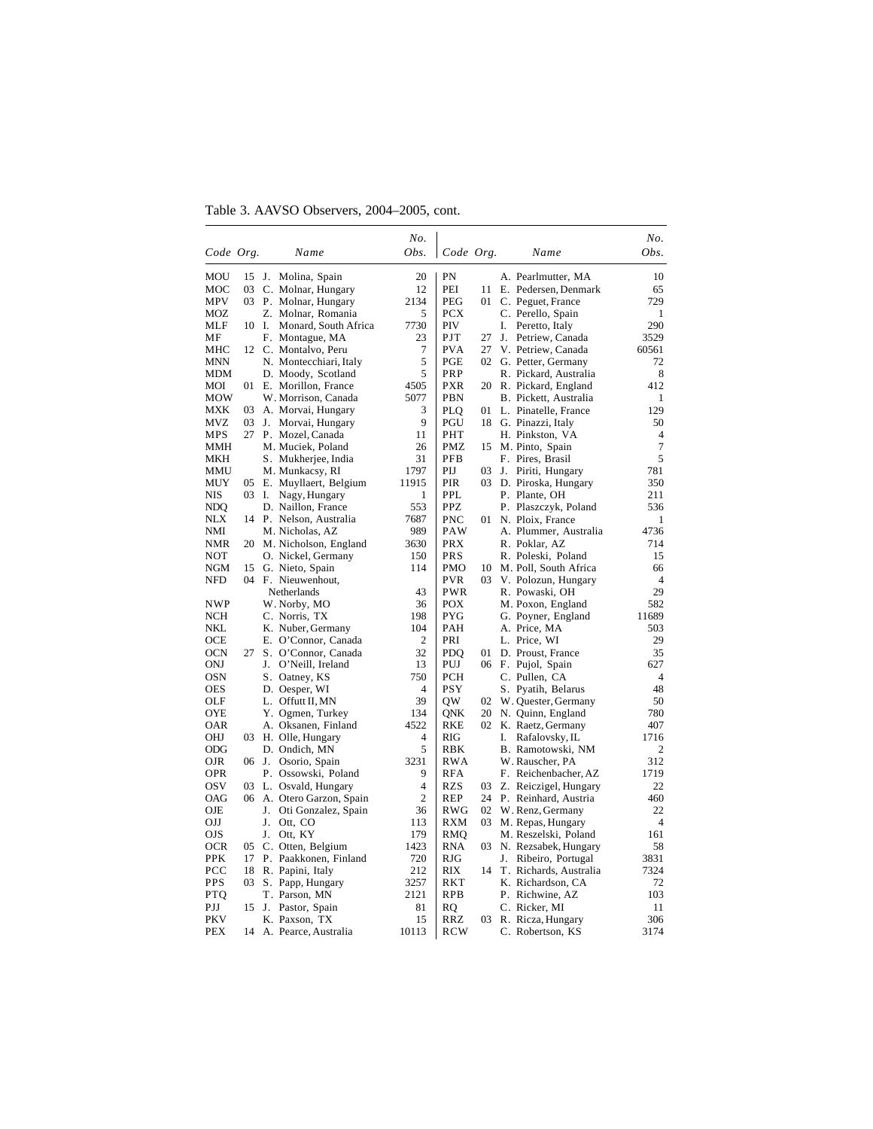Table 3. AAVSO Observers, 2004–2005, cont.

|                   |     |                                          | No.            |                          |    |    |                              | No.                  |
|-------------------|-----|------------------------------------------|----------------|--------------------------|----|----|------------------------------|----------------------|
| Code Org.         |     | Name                                     | Obs.           | Code Org.                |    |    | Name                         | Obs.                 |
| MOU               | 15  | J.<br>Molina, Spain                      | 20             | PN                       |    |    | A. Pearlmutter, MA           | 10                   |
| MOC               | 03  | C. Molnar, Hungary                       | 12             | PEI                      | 11 |    | E. Pedersen, Denmark         | 65                   |
| MPV               |     | 03 P. Molnar, Hungary                    | 2134           | PEG                      | 01 |    | C. Peguet, France            | 729                  |
| MOZ               |     | Z. Molnar, Romania                       | 5              | <b>PCX</b>               |    |    | C. Perello, Spain            | 1                    |
| MLF               |     | 10 I.<br>Monard, South Africa            | 7730           | PIV                      |    | I. | Peretto, Italy               | 290                  |
| MF                |     | F. Montague, MA                          | 23             | PJT                      | 27 |    | J. Petriew, Canada           | 3529                 |
| MHC               |     | 12 C. Montalvo, Peru                     | 7              | PVA                      | 27 |    | V. Petriew, Canada           | 60561                |
| <b>MNN</b>        |     | N. Montecchiari, Italy                   | 5              | PGE                      | 02 |    | G. Petter, Germany           | 72                   |
| <b>MDM</b>        |     | D. Moody, Scotland                       | 5              | PRP                      |    |    | R. Pickard, Australia        | 8                    |
| MOI               |     | 01 E. Morillon, France                   | 4505           | <b>PXR</b>               | 20 |    | R. Pickard, England          | 412                  |
| <b>MOW</b>        |     | W. Morrison, Canada                      | 5077           | PBN                      |    |    | B. Pickett, Australia        | 1                    |
| <b>MXK</b>        | 03  | A. Morvai, Hungary                       | 3              | PLQ                      | 01 |    | L. Pinatelle, France         | 129                  |
| <b>MVZ</b>        | 03  | J.<br>Morvai, Hungary                    | 9              | PGU                      | 18 |    | G. Pinazzi, Italy            | 50                   |
| MPS               | 27  | P. Mozel, Canada                         | 11             | PHT                      |    |    | H. Pinkston, VA              | $\overline{4}$       |
| <b>MMH</b>        |     | M. Muciek, Poland                        | 26             | PMZ                      | 15 |    | M. Pinto, Spain              | 7                    |
| MKH               |     | S. Mukherjee, India                      | 31             | PFB                      |    |    | F. Pires, Brasil             | 5                    |
| MMU               |     | M. Munkacsy, RI                          | 1797           | PIJ                      | 03 |    | J. Piriti, Hungary           | 781                  |
| <b>MUY</b>        |     | 05 E. Muyllaert, Belgium                 | 11915          | PIR                      | 03 |    | D. Piroska, Hungary          | 350                  |
| NIS               | 03  | Ι.<br>Nagy, Hungary                      | 1              | PPL                      |    |    | P. Plante, OH                | 211                  |
| NDO               |     | D. Naillon, France                       | 553            | <b>PPZ</b>               |    |    | P. Plaszczyk, Poland         | 536                  |
| NLX               | 14  | P. Nelson, Australia                     | 7687           | PNC                      | 01 |    | N. Ploix, France             | 1                    |
| NMI               |     | M. Nicholas, AZ                          | 989            | PAW                      |    |    | A. Plummer, Australia        | 4736                 |
| NMR               |     | 20 M. Nicholson, England                 | 3630           | <b>PRX</b>               |    |    | R. Poklar, AZ                | 714                  |
| NOT               |     | O. Nickel, Germany                       | 150            | <b>PRS</b>               |    |    | R. Poleski, Poland           | 15                   |
| <b>NGM</b>        | 15  | G. Nieto, Spain                          | 114            | <b>PMO</b>               | 10 |    | M. Poll, South Africa        | 66                   |
| <b>NFD</b>        | 04  | F. Nieuwenhout,                          |                | <b>PVR</b><br><b>PWR</b> | 03 |    | V. Polozun, Hungary          | $\overline{4}$<br>29 |
|                   |     | Netherlands                              | 43             |                          |    |    | R. Powaski, OH               |                      |
| <b>NWP</b><br>NCH |     | W. Norby, MO                             | 36<br>198      | POX<br>PYG               |    |    | M. Poxon, England            | 582<br>11689         |
| NKL               |     | C. Norris, TX                            | 104            | PAH                      |    |    | G. Poyner, England           | 503                  |
| OCE               |     | K. Nuber, Germany<br>E. O'Connor, Canada | 2              | PRI                      |    |    | A. Price, MA<br>L. Price, WI | 29                   |
| <b>OCN</b>        | 27  | S. O'Connor, Canada                      | 32             | PDQ                      | 01 |    | D. Proust, France            | 35                   |
| ONJ               |     | J.<br>O'Neill, Ireland                   | 13             | PUJ                      | 06 |    | F. Pujol, Spain              | 627                  |
| <b>OSN</b>        |     | S. Oatney, KS                            | 750            | PCH                      |    |    | C. Pullen, CA                | $\overline{4}$       |
| <b>OES</b>        |     | D. Oesper, WI                            | 4              | <b>PSY</b>               |    |    | S. Pyatih, Belarus           | 48                   |
| OLF               |     | L. Offutt II, MN                         | 39             | QW                       | 02 |    | W. Quester, Germany          | 50                   |
| <b>OYE</b>        |     | Y. Ogmen, Turkey                         | 134            | ONK                      | 20 |    | N. Quinn, England            | 780                  |
| OAR               |     | A. Oksanen, Finland                      | 4522           | <b>RKE</b>               | 02 |    | K. Raetz, Germany            | 407                  |
| OHJ               | 03. | H. Olle, Hungary                         | 4              | RIG                      |    | I. | Rafalovsky, IL               | 1716                 |
| <b>ODG</b>        |     | D. Ondich, MN                            | 5              | RBK                      |    |    | B. Ramotowski, NM            | 2                    |
| <b>OJR</b>        |     | 06 J.<br>Osorio, Spain                   | 3231           | <b>RWA</b>               |    |    | W. Rauscher, PA              | 312                  |
| OPR               |     | P. Ossowski, Poland                      | 9              | <b>RFA</b>               |    |    | F. Reichenbacher, AZ         | 1719                 |
| <b>OSV</b>        | 03  | L. Osvald, Hungary                       | 4              | <b>RZS</b>               | 03 |    | Z. Reiczigel, Hungary        | 22                   |
| <b>OAG</b>        | 06  | A. Otero Garzon, Spain                   | $\overline{c}$ | <b>REP</b>               | 24 |    | P. Reinhard, Austria         | 460                  |
| OJE               |     | J.<br>Oti Gonzalez, Spain                | 36             | RWG                      | 02 |    | W. Renz, Germany             | 22                   |
| OIJ               |     | J.<br>Ott, CO                            | 113            | RXM                      | 03 |    | M. Repas, Hungary            | $\overline{4}$       |
| <b>OJS</b>        |     | Ott, KY<br>J.                            | 179            | RMO                      |    |    | M. Reszelski, Poland         | 161                  |
| <b>OCR</b>        | 05  | C. Otten, Belgium                        | 1423           | RNA                      |    |    | 03 N. Rezsabek, Hungary      | 58                   |
| PPK               | 17  | P. Paakkonen, Finland                    | 720            | RJG                      |    | J. | Ribeiro, Portugal            | 3831                 |
| PCC               | 18  | R. Papini, Italy                         | 212            | RIX                      | 14 |    | T. Richards, Australia       | 7324                 |
| <b>PPS</b>        | 03  | S. Papp, Hungary                         | 3257           | RKT                      |    |    | K. Richardson, CA            | 72                   |
| <b>PTO</b>        |     | T. Parson, MN                            | 2121           | RPB                      |    |    | P. Richwine, AZ              | 103                  |
| PJJ               | 15  | J.<br>Pastor, Spain                      | 81             | RQ                       |    |    | C. Ricker, MI                | 11                   |
| <b>PKV</b>        |     | K. Paxson, TX                            | 15             | <b>RRZ</b>               | 03 |    | R. Ricza, Hungary            | 306                  |
| <b>PEX</b>        |     | 14 A. Pearce, Australia                  | 10113          | <b>RCW</b>               |    |    | C. Robertson, KS             | 3174                 |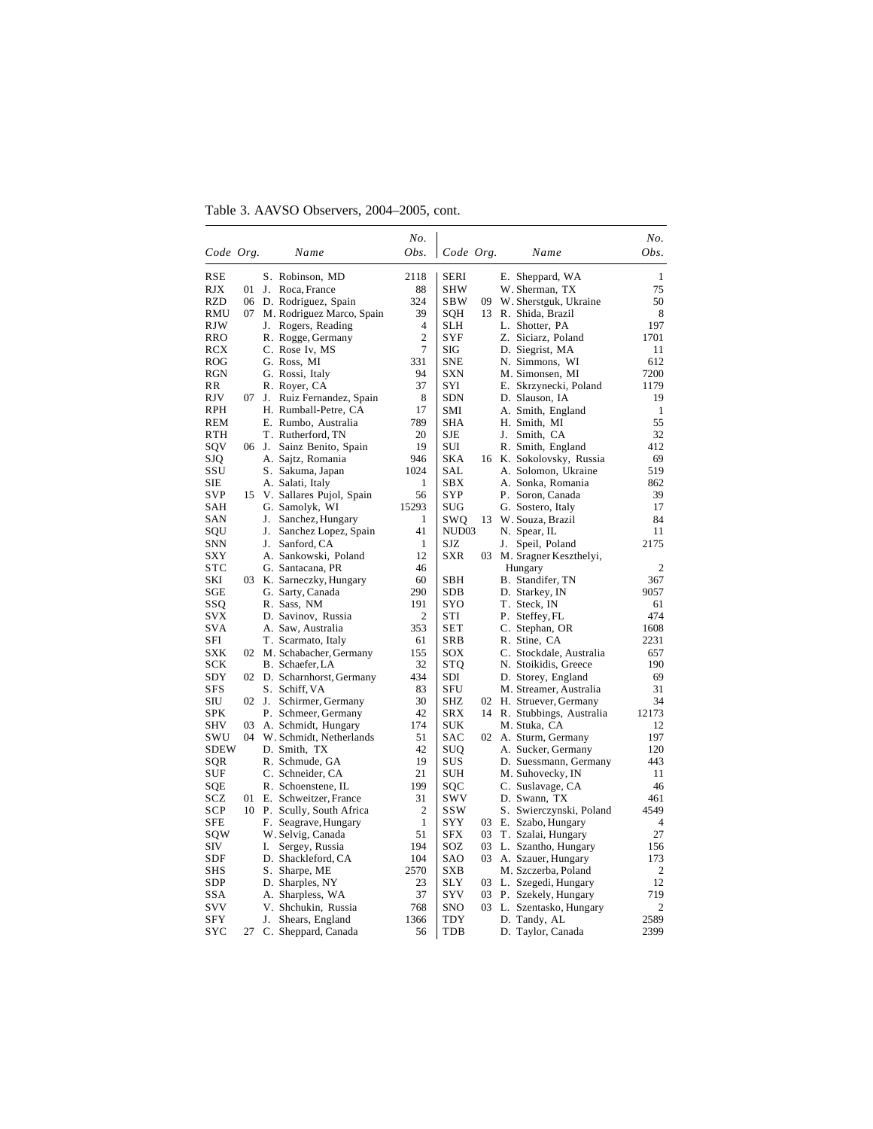Table 3. AAVSO Observers, 2004–2005, cont.

|                   |    |    |                                                | No.            |             |    |                                      | No.            |
|-------------------|----|----|------------------------------------------------|----------------|-------------|----|--------------------------------------|----------------|
| Code Org.         |    |    | Name                                           | Obs.           | Code Org.   |    | Name                                 | Obs.           |
| <b>RSE</b>        |    |    | S. Robinson, MD                                | 2118           | <b>SERI</b> |    | E. Sheppard, WA                      | 1              |
| RJX               | 01 |    | J. Roca, France                                | 88             | SHW         |    | W. Sherman, TX                       | 75             |
| <b>RZD</b>        | 06 |    | D. Rodriguez, Spain                            | 324            | <b>SBW</b>  | 09 | W. Sherstguk, Ukraine                | 50             |
| RMU               | 07 |    | M. Rodriguez Marco, Spain                      | 39             | SQH         | 13 | R. Shida, Brazil                     | 8              |
| <b>RJW</b>        |    |    | J. Rogers, Reading                             | 4              | SLH         |    | L. Shotter, PA                       | 197            |
| <b>RRO</b>        |    |    | R. Rogge, Germany                              | $\overline{c}$ | SYF         |    | Z. Siciarz, Poland                   | 1701           |
| <b>RCX</b>        |    |    | C. Rose Iv, MS                                 | 7              | SIG         |    | D. Siegrist, MA                      | 11             |
| <b>ROG</b>        |    |    | G. Ross, MI                                    | 331            | SNE         |    | N. Simmons, WI                       | 612            |
| RGN               |    |    | G. Rossi, Italy                                | 94             | SXN         |    | M. Simonsen, MI                      | 7200           |
| RR                |    |    | R. Royer, CA                                   | 37             | SYI         |    | E. Skrzynecki, Poland                | 1179           |
| RJV               | 07 | J. | Ruiz Fernandez, Spain                          | 8              | SDN         |    | D. Slauson, IA                       | 19             |
| RPH               |    |    | H. Rumball-Petre, CA                           | 17             | SMI         |    | A. Smith, England                    | 1              |
| REM               |    |    | E. Rumbo, Australia                            | 789            | SHA         |    | H. Smith, MI                         | 55             |
| RTH               |    |    | T. Rutherford, TN                              | 20             | SJE         |    | J. Smith, CA                         | 32             |
| SQV               |    |    | 06 J. Sainz Benito, Spain                      | 19             | SUI         |    | R. Smith, England                    | 412            |
| SJQ               |    |    | A. Sajtz, Romania                              | 946            | SKA         |    | 16 K. Sokolovsky, Russia             | 69             |
| SSU               |    |    | S. Sakuma, Japan                               | 1024           | SAL         |    | A. Solomon, Ukraine                  | 519            |
| SIE               |    |    | A. Salati, Italy                               | 1              | SBX         |    | A. Sonka, Romania                    | 862            |
| <b>SVP</b>        | 15 |    | V. Sallares Pujol, Spain                       | 56             | SYP         |    | P. Soron, Canada                     | 39             |
| SAH               |    |    | G. Samolyk, WI                                 | 15293          | SUG         |    | G. Sostero, Italy                    | 17             |
| SAN               |    |    | J. Sanchez, Hungary                            | 1              | SWQ         | 13 | W. Souza, Brazil                     | 84             |
| SQU               |    | J. | Sanchez Lopez, Spain                           | 41             | NUD03       |    | N. Spear, IL                         | 11             |
| <b>SNN</b>        |    | J. | Sanford, CA                                    | 1              | SJZ         |    | J. Speil, Poland                     | 2175           |
| SXY               |    |    | A. Sankowski, Poland                           | 12             | SXR         | 03 | M. Sragner Keszthelyi,               |                |
| <b>STC</b>        |    |    | G. Santacana, PR                               | 46             |             |    | Hungary                              | 2              |
| SKI               | 03 |    | K. Sarneczky, Hungary                          | 60             | SBH         |    | B. Standifer, TN                     | 367            |
| SGE               |    |    | G. Sarty, Canada                               | 290            | SDB         |    | D. Starkey, IN                       | 9057           |
| SSQ               |    |    | R. Sass, NM                                    | 191            | SYO         |    | T. Steck, IN                         | 61             |
| SVX               |    |    | D. Savinov, Russia                             | 2              | STI         |    | P. Steffey, FL                       | 474            |
| <b>SVA</b>        |    |    | A. Saw, Australia                              | 353            | SET         |    | C. Stephan, OR                       | 1608           |
| SFI               |    |    | T. Scarmato, Italy                             | 61             | SRB         |    | R. Stine, CA                         | 2231           |
| SXK               |    |    | 02 M. Schabacher, Germany                      | 155            | SOX         |    | C. Stockdale, Australia              | 657            |
| SCK               |    |    | B. Schaefer, LA                                | 32             | STQ         |    | N. Stoikidis, Greece                 | 190            |
| SDY               |    |    | 02 D. Scharnhorst, Germany                     | 434            | SDI         |    | D. Storey, England                   | 69             |
| <b>SFS</b>        |    |    | S. Schiff, VA                                  | 83             | SFU         |    | M. Streamer, Australia               | 31             |
| SIU<br><b>SPK</b> |    |    | 02 J. Schirmer, Germany                        | 30<br>42       | SHZ         |    | 02 H. Struever, Germany              | 34             |
| SHV               | 03 |    | P. Schmeer, Germany                            | 174            | SRX<br>SUK  |    | 14 R. Stubbings, Australia           | 12173          |
| swu               | 04 |    | A. Schmidt, Hungary<br>W. Schmidt, Netherlands | 51             | SAC         |    | M. Stuka, CA<br>02 A. Sturm, Germany | 12<br>197      |
| SDEW              |    |    | D. Smith, TX                                   | 42             | SUO         |    | A. Sucker, Germany                   | 120            |
| SQR               |    |    | R. Schmude, GA                                 | 19             | SUS         |    | D. Suessmann, Germany                | 443            |
| SUF               |    |    | C. Schneider, CA                               | 21             | SUH         |    | M. Suhovecky, IN                     | 11             |
| SQE               |    |    | R. Schoenstene, IL                             | 199            | SQC         |    | C. Suslavage, CA                     | 46             |
| SCZ               | 01 |    | E. Schweitzer, France                          | 31             | swv         |    | D. Swann, TX                         | 461            |
| SCP               |    |    | 10 P. Scully, South Africa                     | 2              | ssw         |    | S. Swierczynski, Poland              | 4549           |
| SFE               |    |    | F. Seagrave, Hungary                           | $\mathbf{1}$   | <b>SYY</b>  | 03 | E. Szabo, Hungary                    | 4              |
| sow               |    |    | W. Selvig, Canada                              | 51             | <b>SFX</b>  | 03 | T. Szalai, Hungary                   | 27             |
| SIV               |    | I. | Sergey, Russia                                 | 194            | SOZ         | 03 | L. Szantho, Hungary                  | 156            |
| SDF               |    |    | D. Shackleford, CA                             | 104            | SAO         | 03 | A. Szauer, Hungary                   | 173            |
| SHS               |    |    | S. Sharpe, ME                                  | 2570           | SXB         |    | M. Szczerba, Poland                  | $\overline{2}$ |
| SDP               |    |    | D. Sharples, NY                                | 23             | <b>SLY</b>  |    | 03 L. Szegedi, Hungary               | 12             |
| SSA               |    |    | A. Sharpless, WA                               | 37             | <b>SYV</b>  |    | 03 P. Szekely, Hungary               | 719            |
| svv               |    |    | V. Shchukin, Russia                            | 768            | SNO         |    | 03 L. Szentasko, Hungary             | 2              |
| SFY               |    |    | J. Shears, England                             | 1366           | TDY         |    | D. Tandy, AL                         | 2589           |
| SYC               | 27 |    | C. Sheppard, Canada                            | 56             | <b>TDB</b>  |    | D. Taylor, Canada                    | 2399           |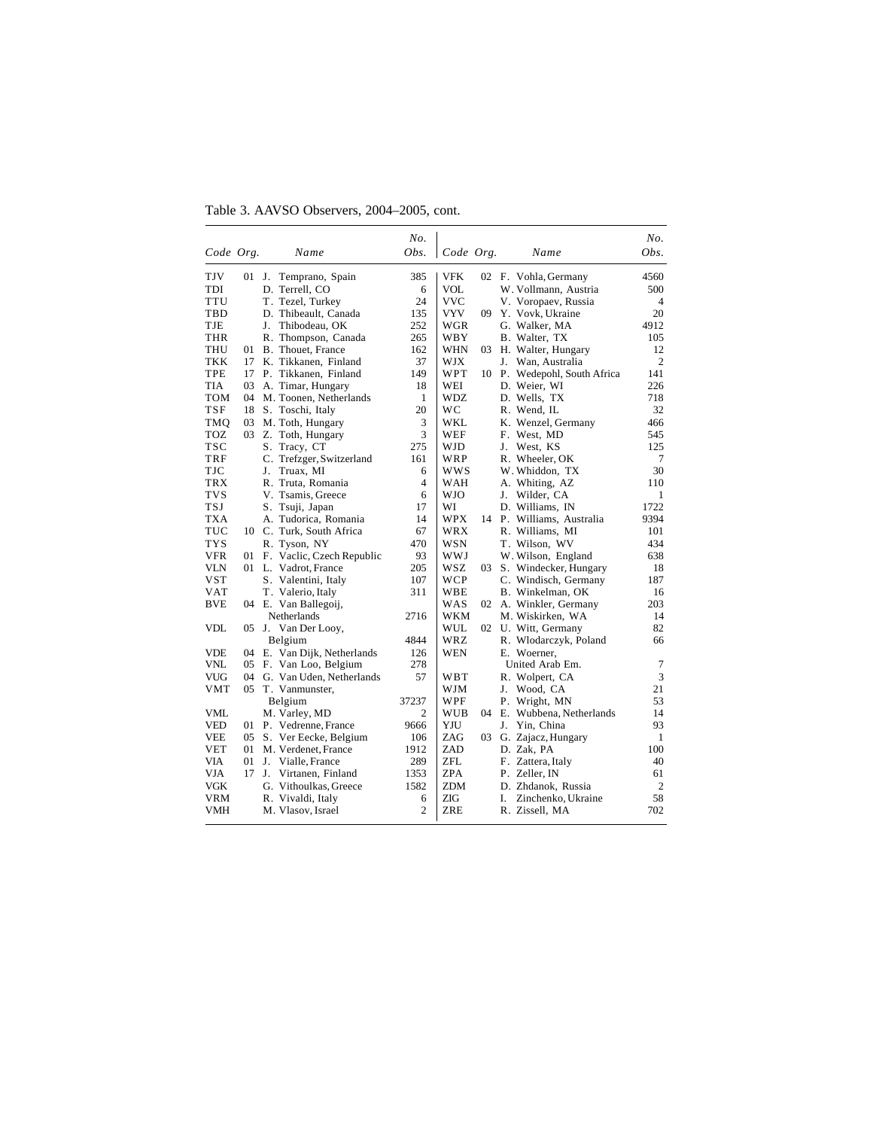Table 3. AAVSO Observers, 2004–2005, cont.

|            |         |    |                              | No.            |            |    |    |                              | No.            |
|------------|---------|----|------------------------------|----------------|------------|----|----|------------------------------|----------------|
| Code Org.  |         |    | Name                         | Obs.           | Code Org.  |    |    | Name                         | Obs.           |
| TJV        | $01$ J. |    | Temprano, Spain              | 385            | <b>VFK</b> |    |    | 02 F. Vohla, Germany         | 4560           |
| TDI        |         |    | D. Terrell, CO               | 6              | VOL        |    |    | W. Vollmann, Austria         | 500            |
| <b>TTU</b> |         |    | T. Tezel, Turkey             | 24             | <b>VVC</b> |    |    | V. Voropaev, Russia          | 4              |
| TBD        |         |    | D. Thibeault, Canada         | 135            | <b>VYV</b> | 09 |    | Y. Vovk, Ukraine             | 20             |
| TJE        |         | J. | Thibodeau, OK                | 252            | WGR        |    |    | G. Walker, MA                | 4912           |
| <b>THR</b> |         |    | R. Thompson, Canada          | 265            | WBY        |    |    | B. Walter, TX                | 105            |
| THU        | 01      |    | B. Thouet, France            | 162            | WHN        | 03 |    | H. Walter, Hungary           | 12             |
| <b>TKK</b> | 17      |    | K. Tikkanen, Finland         | 37             | <b>WJX</b> |    |    | J. Wan, Australia            | $\overline{2}$ |
| TPE        | 17      |    | P. Tikkanen, Finland         | 149            | WPT        |    |    | 10 P. Wedepohl, South Africa | 141            |
| TIA        | 03      |    | A. Timar, Hungary            | 18             | WEI        |    |    | D. Weier, WI                 | 226            |
| TOM        | 04      |    | M. Toonen, Netherlands       | 1              | WDZ        |    |    | D. Wells, TX                 | 718            |
| TSF        | 18      |    | S. Toschi, Italy             | 20             | wс         |    |    | R. Wend, IL                  | 32             |
| TMQ        | 03      |    | M. Toth, Hungary             | 3              | WKL        |    |    | K. Wenzel, Germany           | 466            |
| TOZ        | 03      |    | Z. Toth, Hungary             | 3              | WEF        |    |    | F. West, MD                  | 545            |
| TSC        |         |    | S. Tracy, CT                 | 275            | WJD        |    | J. | West, KS                     | 125            |
| TRF        |         |    | C. Trefzger, Switzerland     | 161            | WRP        |    |    | R. Wheeler, OK               | 7              |
| <b>TJC</b> |         | J. | Truax, MI                    | 6              | <b>WWS</b> |    |    | W. Whiddon, TX               | 30             |
| TRX        |         |    | R. Truta, Romania            | 4              | WAH        |    |    | A. Whiting, AZ               | 110            |
| <b>TVS</b> |         |    | V. Tsamis, Greece            | 6              | <b>WJO</b> |    | J. | Wilder, CA                   | 1              |
| <b>TSJ</b> |         |    | S. Tsuji, Japan              | 17             | WI         |    |    | D. Williams, IN              | 1722           |
| <b>TXA</b> |         |    | A. Tudorica, Romania         | 14             | WPX        | 14 |    | P. Williams, Australia       | 9394           |
| TUC        |         |    | 10 C. Turk, South Africa     | 67             | WRX        |    |    | R. Williams, MI              | 101            |
| <b>TYS</b> |         |    | R. Tyson, NY                 | 470            | <b>WSN</b> |    |    | T. Wilson, WV                | 434            |
| VFR        |         |    | 01 F. Vaclic, Czech Republic | 93             | WWJ        |    |    | W. Wilson, England           | 638            |
| VLN        |         |    | 01 L. Vadrot, France         | 205            | wsz        | 03 |    | S. Windecker, Hungary        | 18             |
| <b>VST</b> |         |    | S. Valentini, Italy          | 107            | <b>WCP</b> |    |    | C. Windisch, Germany         | 187            |
| VAT        |         |    | T. Valerio, Italy            | 311            | WBE        |    |    | B. Winkelman, OK             | 16             |
| <b>BVE</b> |         |    | 04 E. Van Ballegoij,         |                | WAS        | 02 |    | A. Winkler, Germany          | 203            |
|            |         |    | Netherlands                  | 2716           | <b>WKM</b> |    |    | M. Wiskirken, WA             | 14             |
| VDL        |         |    | 05 J. Van Der Looy,          |                | WUL        |    |    | 02 U. Witt, Germany          | 82             |
|            |         |    | Belgium                      | 4844           | WRZ        |    |    | R. Wlodarczyk, Poland        | 66             |
| <b>VDE</b> |         |    | 04 E. Van Dijk, Netherlands  | 126            | WEN        |    |    | E. Woerner.                  |                |
| VNL        |         |    | 05 F. Van Loo, Belgium       | 278            |            |    |    | United Arab Em.              | 7              |
| VUG        | 04      |    | G. Van Uden, Netherlands     | 57             | WBT        |    |    | R. Wolpert, CA               | 3              |
| VMT        | 05      |    | T. Vanmunster,               |                | WJM        |    | J. | Wood, CA                     | 21             |
|            |         |    | Belgium                      | 37237          | WPF        |    |    | P. Wright, MN                | 53             |
| VML        |         |    | M. Varley, MD                | 2              | WUB        | 04 |    | E. Wubbena, Netherlands      | 14             |
| VED        |         |    | 01 P. Vedrenne, France       | 9666           | YJU        |    | J. | Yin, China                   | 93             |
| <b>VEE</b> | 05      |    | S. Ver Eecke, Belgium        | 106            | ZAG        | 03 |    | G. Zajacz, Hungary           | 1              |
| VET        | 01      |    | M. Verdenet, France          | 1912           | ZAD        |    |    | D. Zak, PA                   | 100            |
| <b>VIA</b> | 01      |    | J. Vialle, France            | 289            | <b>ZFL</b> |    |    | F. Zattera, Italy            | 40             |
| <b>VJA</b> | 17      |    | J. Virtanen, Finland         | 1353           | <b>ZPA</b> |    |    | P. Zeller, IN                | 61             |
| VGK        |         |    | G. Vithoulkas, Greece        | 1582           | <b>ZDM</b> |    |    | D. Zhdanok, Russia           | $\overline{2}$ |
| VRM        |         |    | R. Vivaldi, Italy            | 6              | ZIG        |    | Ι. | Zinchenko, Ukraine           | 58             |
| VMH        |         |    | M. Vlasov, Israel            | $\overline{c}$ | ZRE        |    |    | R. Zissell, MA               | 702            |